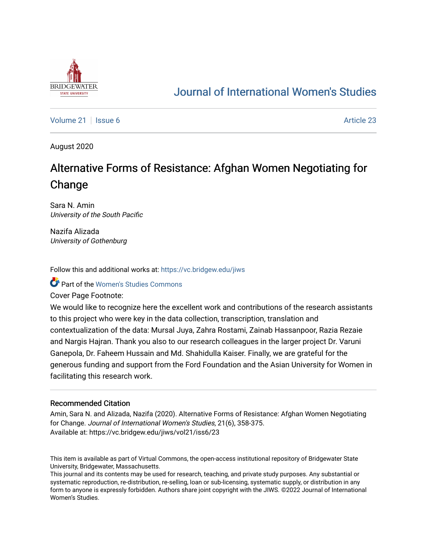

# [Journal of International Women's Studies](https://vc.bridgew.edu/jiws)

[Volume 21](https://vc.bridgew.edu/jiws/vol21) | [Issue 6](https://vc.bridgew.edu/jiws/vol21/iss6) Article 23

August 2020

# Alternative Forms of Resistance: Afghan Women Negotiating for Change

Sara N. Amin University of the South Pacific

Nazifa Alizada University of Gothenburg

Follow this and additional works at: [https://vc.bridgew.edu/jiws](https://vc.bridgew.edu/jiws?utm_source=vc.bridgew.edu%2Fjiws%2Fvol21%2Fiss6%2F23&utm_medium=PDF&utm_campaign=PDFCoverPages)

**C** Part of the Women's Studies Commons

Cover Page Footnote:

We would like to recognize here the excellent work and contributions of the research assistants to this project who were key in the data collection, transcription, translation and contextualization of the data: Mursal Juya, Zahra Rostami, Zainab Hassanpoor, Razia Rezaie and Nargis Hajran. Thank you also to our research colleagues in the larger project Dr. Varuni Ganepola, Dr. Faheem Hussain and Md. Shahidulla Kaiser. Finally, we are grateful for the generous funding and support from the Ford Foundation and the Asian University for Women in facilitating this research work.

#### Recommended Citation

Amin, Sara N. and Alizada, Nazifa (2020). Alternative Forms of Resistance: Afghan Women Negotiating for Change. Journal of International Women's Studies, 21(6), 358-375. Available at: https://vc.bridgew.edu/jiws/vol21/iss6/23

This item is available as part of Virtual Commons, the open-access institutional repository of Bridgewater State University, Bridgewater, Massachusetts.

This journal and its contents may be used for research, teaching, and private study purposes. Any substantial or systematic reproduction, re-distribution, re-selling, loan or sub-licensing, systematic supply, or distribution in any form to anyone is expressly forbidden. Authors share joint copyright with the JIWS. ©2022 Journal of International Women's Studies.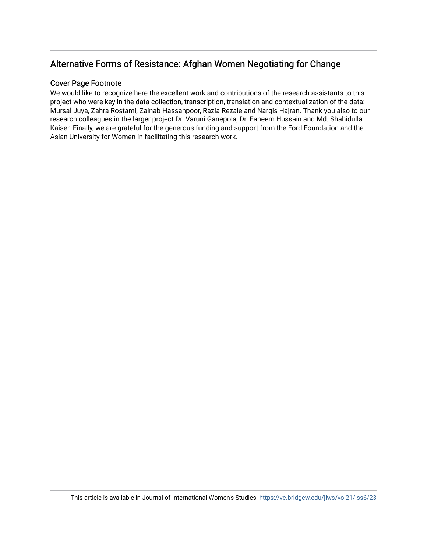# Alternative Forms of Resistance: Afghan Women Negotiating for Change

# Cover Page Footnote

We would like to recognize here the excellent work and contributions of the research assistants to this project who were key in the data collection, transcription, translation and contextualization of the data: Mursal Juya, Zahra Rostami, Zainab Hassanpoor, Razia Rezaie and Nargis Hajran. Thank you also to our research colleagues in the larger project Dr. Varuni Ganepola, Dr. Faheem Hussain and Md. Shahidulla Kaiser. Finally, we are grateful for the generous funding and support from the Ford Foundation and the Asian University for Women in facilitating this research work.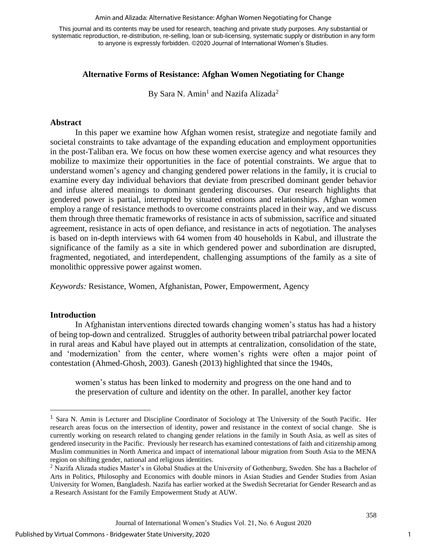#### Amin and Alizada: Alternative Resistance: Afghan Women Negotiating for Change

This journal and its contents may be used for research, teaching and private study purposes. Any substantial or systematic reproduction, re-distribution, re-selling, loan or sub-licensing, systematic supply or distribution in any form to anyone is expressly forbidden. ©2020 Journal of International Women's Studies.

# **Alternative Forms of Resistance: Afghan Women Negotiating for Change**

By Sara N. Amin<sup>1</sup> and Nazifa Alizada<sup>2</sup>

# **Abstract**

In this paper we examine how Afghan women resist, strategize and negotiate family and societal constraints to take advantage of the expanding education and employment opportunities in the post-Taliban era. We focus on how these women exercise agency and what resources they mobilize to maximize their opportunities in the face of potential constraints. We argue that to understand women's agency and changing gendered power relations in the family, it is crucial to examine every day individual behaviors that deviate from prescribed dominant gender behavior and infuse altered meanings to dominant gendering discourses. Our research highlights that gendered power is partial, interrupted by situated emotions and relationships. Afghan women employ a range of resistance methods to overcome constraints placed in their way, and we discuss them through three thematic frameworks of resistance in acts of submission, sacrifice and situated agreement, resistance in acts of open defiance, and resistance in acts of negotiation. The analyses is based on in-depth interviews with 64 women from 40 households in Kabul, and illustrate the significance of the family as a site in which gendered power and subordination are disrupted, fragmented, negotiated, and interdependent, challenging assumptions of the family as a site of monolithic oppressive power against women.

*Keywords:* Resistance, Women, Afghanistan, Power, Empowerment, Agency

### **Introduction**

In Afghanistan interventions directed towards changing women's status has had a history of being top-down and centralized. Struggles of authority between tribal patriarchal power located in rural areas and Kabul have played out in attempts at centralization, consolidation of the state, and 'modernization' from the center, where women's rights were often a major point of contestation (Ahmed-Ghosh, 2003). Ganesh (2013) highlighted that since the 1940s,

women's status has been linked to modernity and progress on the one hand and to the preservation of culture and identity on the other. In parallel, another key factor

1

<sup>&</sup>lt;sup>1</sup> Sara N. Amin is Lecturer and Discipline Coordinator of Sociology at The University of the South Pacific. Her research areas focus on the intersection of identity, power and resistance in the context of social change. She is currently working on research related to changing gender relations in the family in South Asia, as well as sites of gendered insecurity in the Pacific. Previously her research has examined contestations of faith and citizenship among Muslim communities in North America and impact of international labour migration from South Asia to the MENA region on shifting gender, national and religious identities.

<sup>&</sup>lt;sup>2</sup> Nazifa Alizada studies Master's in Global Studies at the University of Gothenburg, Sweden. She has a Bachelor of Arts in Politics, Philosophy and Economics with double minors in Asian Studies and Gender Studies from Asian University for Women, Bangladesh. Nazifa has earlier worked at the Swedish Secretariat for Gender Research and as a Research Assistant for the Family Empowerment Study at AUW.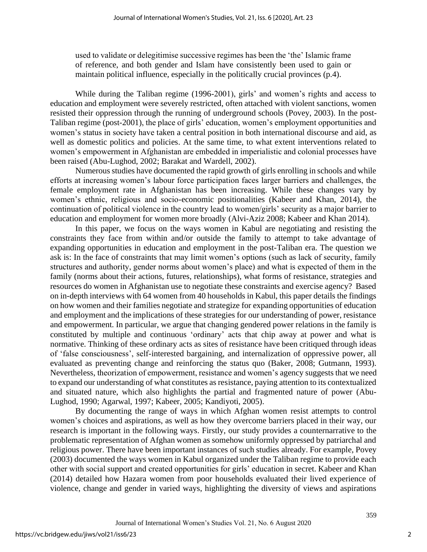used to validate or delegitimise successive regimes has been the 'the' Islamic frame of reference, and both gender and Islam have consistently been used to gain or maintain political influence, especially in the politically crucial provinces (p.4).

While during the Taliban regime (1996-2001), girls' and women's rights and access to education and employment were severely restricted, often attached with violent sanctions, women resisted their oppression through the running of underground schools (Povey, 2003). In the post-Taliban regime (post-2001), the place of girls' education, women's employment opportunities and women's status in society have taken a central position in both international discourse and aid, as well as domestic politics and policies. At the same time, to what extent interventions related to women's empowerment in Afghanistan are embedded in imperialistic and colonial processes have been raised (Abu-Lughod, 2002; Barakat and Wardell, 2002).

Numerous studies have documented the rapid growth of girls enrolling in schools and while efforts at increasing women's labour force participation faces larger barriers and challenges, the female employment rate in Afghanistan has been increasing. While these changes vary by women's ethnic, religious and socio-economic positionalities (Kabeer and Khan, 2014), the continuation of political violence in the country lead to women/girls' security as a major barrier to education and employment for women more broadly (Alvi-Aziz 2008; Kabeer and Khan 2014).

In this paper, we focus on the ways women in Kabul are negotiating and resisting the constraints they face from within and/or outside the family to attempt to take advantage of expanding opportunities in education and employment in the post-Taliban era. The question we ask is: In the face of constraints that may limit women's options (such as lack of security, family structures and authority, gender norms about women's place) and what is expected of them in the family (norms about their actions, futures, relationships), what forms of resistance, strategies and resources do women in Afghanistan use to negotiate these constraints and exercise agency? Based on in-depth interviews with 64 women from 40 households in Kabul, this paper details the findings on how women and their families negotiate and strategize for expanding opportunities of education and employment and the implications of these strategies for our understanding of power, resistance and empowerment. In particular, we argue that changing gendered power relations in the family is constituted by multiple and continuous 'ordinary' acts that chip away at power and what is normative. Thinking of these ordinary acts as sites of resistance have been critiqued through ideas of 'false consciousness', self-interested bargaining, and internalization of oppressive power, all evaluated as preventing change and reinforcing the status quo (Baker, 2008; Gutmann, 1993). Nevertheless, theorization of empowerment, resistance and women's agency suggests that we need to expand our understanding of what constitutes as resistance, paying attention to its contextualized and situated nature, which also highlights the partial and fragmented nature of power (Abu-Lughod, 1990; Agarwal, 1997; Kabeer, 2005; Kandiyoti, 2005).

By documenting the range of ways in which Afghan women resist attempts to control women's choices and aspirations, as well as how they overcome barriers placed in their way, our research is important in the following ways. Firstly, our study provides a counternarrative to the problematic representation of Afghan women as somehow uniformly oppressed by patriarchal and religious power. There have been important instances of such studies already. For example, Povey (2003) documented the ways women in Kabul organized under the Taliban regime to provide each other with social support and created opportunities for girls' education in secret. Kabeer and Khan (2014) detailed how Hazara women from poor households evaluated their lived experience of violence, change and gender in varied ways, highlighting the diversity of views and aspirations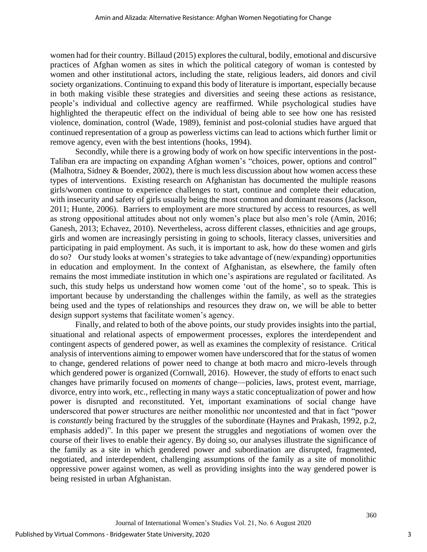women had for their country. Billaud (2015) explores the cultural, bodily, emotional and discursive practices of Afghan women as sites in which the political category of woman is contested by women and other institutional actors, including the state, religious leaders, aid donors and civil society organizations. Continuing to expand this body of literature is important, especially because in both making visible these strategies and diversities and seeing these actions as resistance, people's individual and collective agency are reaffirmed. While psychological studies have highlighted the therapeutic effect on the individual of being able to see how one has resisted violence, domination, control (Wade, 1989), feminist and post-colonial studies have argued that continued representation of a group as powerless victims can lead to actions which further limit or remove agency, even with the best intentions (hooks, 1994).

Secondly, while there is a growing body of work on how specific interventions in the post-Taliban era are impacting on expanding Afghan women's "choices, power, options and control" (Malhotra, Sidney & Boender, 2002), there is much less discussion about how women access these types of interventions. Existing research on Afghanistan has documented the multiple reasons girls/women continue to experience challenges to start, continue and complete their education, with insecurity and safety of girls usually being the most common and dominant reasons (Jackson, 2011; Hunte, 2006). Barriers to employment are more structured by access to resources, as well as strong oppositional attitudes about not only women's place but also men's role (Amin, 2016; Ganesh, 2013; Echavez, 2010). Nevertheless, across different classes, ethnicities and age groups, girls and women are increasingly persisting in going to schools, literacy classes, universities and participating in paid employment. As such, it is important to ask, how do these women and girls do so? Our study looks at women's strategies to take advantage of (new/expanding) opportunities in education and employment. In the context of Afghanistan, as elsewhere, the family often remains the most immediate institution in which one's aspirations are regulated or facilitated. As such, this study helps us understand how women come 'out of the home', so to speak. This is important because by understanding the challenges within the family, as well as the strategies being used and the types of relationships and resources they draw on, we will be able to better design support systems that facilitate women's agency.

Finally, and related to both of the above points, our study provides insights into the partial, situational and relational aspects of empowerment processes, explores the interdependent and contingent aspects of gendered power, as well as examines the complexity of resistance. Critical analysis of interventions aiming to empower women have underscored that for the status of women to change, gendered relations of power need to change at both macro and micro-levels through which gendered power is organized (Cornwall, 2016). However, the study of efforts to enact such changes have primarily focused on *moments* of change—policies, laws, protest event, marriage, divorce, entry into work, etc., reflecting in many ways a static conceptualization of power and how power is disrupted and reconstituted. Yet, important examinations of social change have underscored that power structures are neither monolithic nor uncontested and that in fact "power is *constantly* being fractured by the struggles of the subordinate (Haynes and Prakash, 1992, p.2, emphasis added)". In this paper we present the struggles and negotiations of women over the course of their lives to enable their agency. By doing so, our analyses illustrate the significance of the family as a site in which gendered power and subordination are disrupted, fragmented, negotiated, and interdependent, challenging assumptions of the family as a site of monolithic oppressive power against women, as well as providing insights into the way gendered power is being resisted in urban Afghanistan.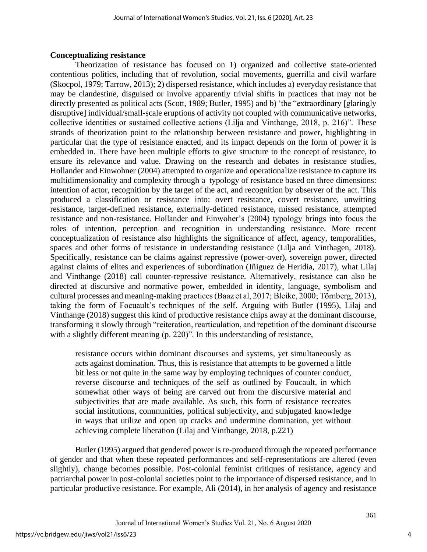# **Conceptualizing resistance**

Theorization of resistance has focused on 1) organized and collective state-oriented contentious politics, including that of revolution, social movements, guerrilla and civil warfare (Skocpol, 1979; Tarrow, 2013); 2) dispersed resistance, which includes a) everyday resistance that may be clandestine, disguised or involve apparently trivial shifts in practices that may not be directly presented as political acts (Scott, 1989; Butler, 1995) and b) 'the "extraordinary [glaringly disruptive] individual/small-scale eruptions of activity not coupled with communicative networks, collective identities or sustained collective actions (Lilja and Vinthange, 2018, p. 216)". These strands of theorization point to the relationship between resistance and power, highlighting in particular that the type of resistance enacted, and its impact depends on the form of power it is embedded in. There have been multiple efforts to give structure to the concept of resistance, to ensure its relevance and value. Drawing on the research and debates in resistance studies, Hollander and Einwohner (2004) attempted to organize and operationalize resistance to capture its multidimensionality and complexity through a typology of resistance based on three dimensions: intention of actor, recognition by the target of the act, and recognition by observer of the act. This produced a classification or resistance into: overt resistance, covert resistance, unwitting resistance, target-defined resistance, externally-defined resistance, missed resistance, attempted resistance and non-resistance. Hollander and Einwoher's (2004) typology brings into focus the roles of intention, perception and recognition in understanding resistance. More recent conceptualization of resistance also highlights the significance of affect, agency, temporalities, spaces and other forms of resistance in understanding resistance (Lilja and Vinthagen, 2018). Specifically, resistance can be claims against repressive (power-over), sovereign power, directed against claims of elites and experiences of subordination (Iñiguez de Heridia, 2017), what Lilaj and Vinthange (2018) call counter-repressive resistance. Alternatively, resistance can also be directed at discursive and normative power, embedded in identity, language, symbolism and cultural processes and meaning-making practices (Baaz et al, 2017; Bleike, 2000; Tӧrnberg, 2013), taking the form of Focuault's techniques of the self. Arguing with Butler (1995), Lilaj and Vinthange (2018) suggest this kind of productive resistance chips away at the dominant discourse, transforming it slowly through "reiteration, rearticulation, and repetition of the dominant discourse with a slightly different meaning (p. 220)". In this understanding of resistance,

resistance occurs within dominant discourses and systems, yet simultaneously as acts against domination. Thus, this is resistance that attempts to be governed a little bit less or not quite in the same way by employing techniques of counter conduct, reverse discourse and techniques of the self as outlined by Foucault, in which somewhat other ways of being are carved out from the discursive material and subjectivities that are made available. As such, this form of resistance recreates social institutions, communities, political subjectivity, and subjugated knowledge in ways that utilize and open up cracks and undermine domination, yet without achieving complete liberation (Lilaj and Vinthange, 2018, p.221)

Butler (1995) argued that gendered power is re-produced through the repeated performance of gender and that when these repeated performances and self-representations are altered (even slightly), change becomes possible. Post-colonial feminist critiques of resistance, agency and patriarchal power in post-colonial societies point to the importance of dispersed resistance, and in particular productive resistance. For example, Ali (2014), in her analysis of agency and resistance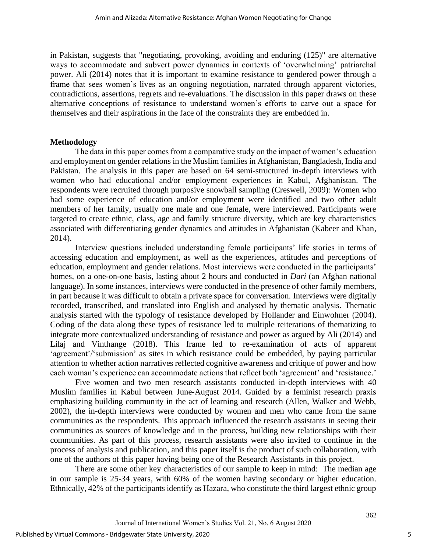in Pakistan, suggests that "negotiating, provoking, avoiding and enduring (125)" are alternative ways to accommodate and subvert power dynamics in contexts of 'overwhelming' patriarchal power. Ali (2014) notes that it is important to examine resistance to gendered power through a frame that sees women's lives as an ongoing negotiation, narrated through apparent victories, contradictions, assertions, regrets and re-evaluations. The discussion in this paper draws on these alternative conceptions of resistance to understand women's efforts to carve out a space for themselves and their aspirations in the face of the constraints they are embedded in.

### **Methodology**

The data in this paper comes from a comparative study on the impact of women's education and employment on gender relations in the Muslim families in Afghanistan, Bangladesh, India and Pakistan. The analysis in this paper are based on 64 semi-structured in-depth interviews with women who had educational and/or employment experiences in Kabul, Afghanistan. The respondents were recruited through purposive snowball sampling (Creswell, 2009): Women who had some experience of education and/or employment were identified and two other adult members of her family, usually one male and one female, were interviewed. Participants were targeted to create ethnic, class, age and family structure diversity, which are key characteristics associated with differentiating gender dynamics and attitudes in Afghanistan (Kabeer and Khan, 2014).

Interview questions included understanding female participants' life stories in terms of accessing education and employment, as well as the experiences, attitudes and perceptions of education, employment and gender relations. Most interviews were conducted in the participants' homes, on a one-on-one basis, lasting about 2 hours and conducted in *Dari* (an Afghan national language). In some instances, interviews were conducted in the presence of other family members, in part because it was difficult to obtain a private space for conversation. Interviews were digitally recorded, transcribed, and translated into English and analysed by thematic analysis. Thematic analysis started with the typology of resistance developed by Hollander and Einwohner (2004). Coding of the data along these types of resistance led to multiple reiterations of thematizing to integrate more contextualized understanding of resistance and power as argued by Ali (2014) and Lilaj and Vinthange (2018). This frame led to re-examination of acts of apparent 'agreement'/'submission' as sites in which resistance could be embedded, by paying particular attention to whether action narratives reflected cognitive awareness and critique of power and how each woman's experience can accommodate actions that reflect both 'agreement' and 'resistance.'

Five women and two men research assistants conducted in-depth interviews with 40 Muslim families in Kabul between June-August 2014. Guided by a feminist research praxis emphasizing building community in the act of learning and research (Allen, Walker and Webb, 2002), the in-depth interviews were conducted by women and men who came from the same communities as the respondents. This approach influenced the research assistants in seeing their communities as sources of knowledge and in the process, building new relationships with their communities. As part of this process, research assistants were also invited to continue in the process of analysis and publication, and this paper itself is the product of such collaboration, with one of the authors of this paper having being one of the Research Assistants in this project.

There are some other key characteristics of our sample to keep in mind: The median age in our sample is 25-34 years, with 60% of the women having secondary or higher education. Ethnically, 42% of the participants identify as Hazara, who constitute the third largest ethnic group

5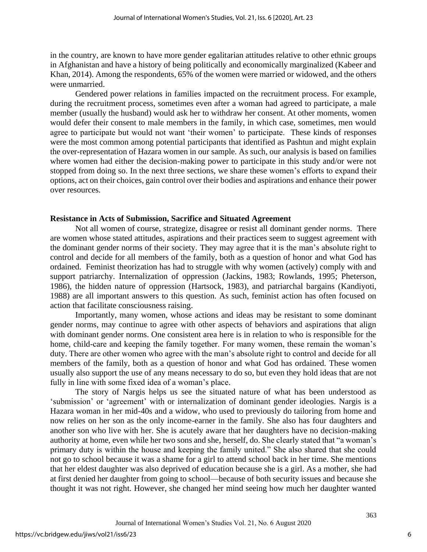in the country, are known to have more gender egalitarian attitudes relative to other ethnic groups in Afghanistan and have a history of being politically and economically marginalized (Kabeer and Khan, 2014). Among the respondents, 65% of the women were married or widowed, and the others were unmarried.

Gendered power relations in families impacted on the recruitment process. For example, during the recruitment process, sometimes even after a woman had agreed to participate, a male member (usually the husband) would ask her to withdraw her consent. At other moments, women would defer their consent to male members in the family, in which case, sometimes, men would agree to participate but would not want 'their women' to participate. These kinds of responses were the most common among potential participants that identified as Pashtun and might explain the over-representation of Hazara women in our sample. As such, our analysis is based on families where women had either the decision-making power to participate in this study and/or were not stopped from doing so. In the next three sections, we share these women's efforts to expand their options, act on their choices, gain control over their bodies and aspirations and enhance their power over resources.

# **Resistance in Acts of Submission, Sacrifice and Situated Agreement**

Not all women of course, strategize, disagree or resist all dominant gender norms. There are women whose stated attitudes, aspirations and their practices seem to suggest agreement with the dominant gender norms of their society. They may agree that it is the man's absolute right to control and decide for all members of the family, both as a question of honor and what God has ordained. Feminist theorization has had to struggle with why women (actively) comply with and support patriarchy. Internalization of oppression (Jackins, 1983; Rowlands, 1995; Pheterson, 1986), the hidden nature of oppression (Hartsock, 1983), and patriarchal bargains (Kandiyoti, 1988) are all important answers to this question. As such, feminist action has often focused on action that facilitate consciousness raising.

Importantly, many women, whose actions and ideas may be resistant to some dominant gender norms, may continue to agree with other aspects of behaviors and aspirations that align with dominant gender norms. One consistent area here is in relation to who is responsible for the home, child-care and keeping the family together. For many women, these remain the woman's duty. There are other women who agree with the man's absolute right to control and decide for all members of the family, both as a question of honor and what God has ordained. These women usually also support the use of any means necessary to do so, but even they hold ideas that are not fully in line with some fixed idea of a woman's place.

The story of Nargis helps us see the situated nature of what has been understood as 'submission' or 'agreement' with or internalization of dominant gender ideologies. Nargis is a Hazara woman in her mid-40s and a widow, who used to previously do tailoring from home and now relies on her son as the only income-earner in the family. She also has four daughters and another son who live with her. She is acutely aware that her daughters have no decision-making authority at home, even while her two sons and she, herself, do. She clearly stated that "a woman's primary duty is within the house and keeping the family united." She also shared that she could not go to school because it was a shame for a girl to attend school back in her time. She mentions that her eldest daughter was also deprived of education because she is a girl. As a mother, she had at first denied her daughter from going to school—because of both security issues and because she thought it was not right. However, she changed her mind seeing how much her daughter wanted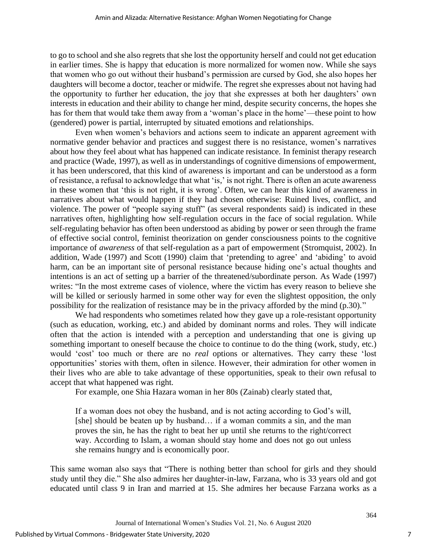to go to school and she also regrets that she lost the opportunity herself and could not get education in earlier times. She is happy that education is more normalized for women now. While she says that women who go out without their husband's permission are cursed by God, she also hopes her daughters will become a doctor, teacher or midwife. The regret she expresses about not having had the opportunity to further her education, the joy that she expresses at both her daughters' own interests in education and their ability to change her mind, despite security concerns, the hopes she has for them that would take them away from a 'woman's place in the home'—these point to how (gendered) power is partial, interrupted by situated emotions and relationships.

Even when women's behaviors and actions seem to indicate an apparent agreement with normative gender behavior and practices and suggest there is no resistance, women's narratives about how they feel about what has happened can indicate resistance. In feminist therapy research and practice (Wade, 1997), as well as in understandings of cognitive dimensions of empowerment, it has been underscored, that this kind of awareness is important and can be understood as a form of resistance, a refusal to acknowledge that what 'is,' is not right. There is often an acute awareness in these women that 'this is not right, it is wrong'. Often, we can hear this kind of awareness in narratives about what would happen if they had chosen otherwise: Ruined lives, conflict, and violence. The power of "people saying stuff" (as several respondents said) is indicated in these narratives often, highlighting how self-regulation occurs in the face of social regulation. While self-regulating behavior has often been understood as abiding by power or seen through the frame of effective social control, feminist theorization on gender consciousness points to the cognitive importance of *awareness* of that self-regulation as a part of empowerment (Stromquist, 2002). In addition, Wade (1997) and Scott (1990) claim that 'pretending to agree' and 'abiding' to avoid harm, can be an important site of personal resistance because hiding one's actual thoughts and intentions is an act of setting up a barrier of the threatened/subordinate person. As Wade (1997) writes: "In the most extreme cases of violence, where the victim has every reason to believe she will be killed or seriously harmed in some other way for even the slightest opposition, the only possibility for the realization of resistance may be in the privacy afforded by the mind (p.30)."

We had respondents who sometimes related how they gave up a role-resistant opportunity (such as education, working, etc.) and abided by dominant norms and roles. They will indicate often that the action is intended with a perception and understanding that one is giving up something important to oneself because the choice to continue to do the thing (work, study, etc.) would 'cost' too much or there are no *real* options or alternatives. They carry these 'lost opportunities' stories with them, often in silence. However, their admiration for other women in their lives who are able to take advantage of these opportunities, speak to their own refusal to accept that what happened was right.

For example, one Shia Hazara woman in her 80s (Zainab) clearly stated that,

If a woman does not obey the husband, and is not acting according to God's will, [she] should be beaten up by husband... if a woman commits a sin, and the man proves the sin, he has the right to beat her up until she returns to the right/correct way. According to Islam, a woman should stay home and does not go out unless she remains hungry and is economically poor.

This same woman also says that "There is nothing better than school for girls and they should study until they die." She also admires her daughter-in-law, Farzana, who is 33 years old and got educated until class 9 in Iran and married at 15. She admires her because Farzana works as a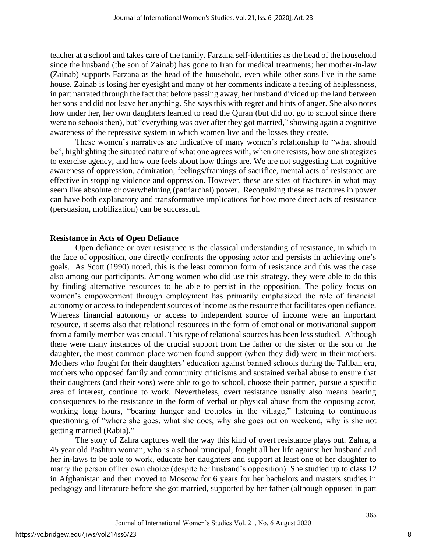teacher at a school and takes care of the family. Farzana self-identifies as the head of the household since the husband (the son of Zainab) has gone to Iran for medical treatments; her mother-in-law (Zainab) supports Farzana as the head of the household, even while other sons live in the same house. Zainab is losing her eyesight and many of her comments indicate a feeling of helplessness, in part narrated through the fact that before passing away, her husband divided up the land between her sons and did not leave her anything. She says this with regret and hints of anger. She also notes how under her, her own daughters learned to read the Quran (but did not go to school since there were no schools then), but "everything was over after they got married," showing again a cognitive awareness of the repressive system in which women live and the losses they create.

These women's narratives are indicative of many women's relationship to "what should be", highlighting the situated nature of what one agrees with, when one resists, how one strategizes to exercise agency, and how one feels about how things are. We are not suggesting that cognitive awareness of oppression, admiration, feelings/framings of sacrifice, mental acts of resistance are effective in stopping violence and oppression. However, these are sites of fractures in what may seem like absolute or overwhelming (patriarchal) power. Recognizing these as fractures in power can have both explanatory and transformative implications for how more direct acts of resistance (persuasion, mobilization) can be successful.

# **Resistance in Acts of Open Defiance**

Open defiance or over resistance is the classical understanding of resistance, in which in the face of opposition, one directly confronts the opposing actor and persists in achieving one's goals. As Scott (1990) noted, this is the least common form of resistance and this was the case also among our participants. Among women who did use this strategy, they were able to do this by finding alternative resources to be able to persist in the opposition. The policy focus on women's empowerment through employment has primarily emphasized the role of financial autonomy or access to independent sources of income as the resource that facilitates open defiance. Whereas financial autonomy or access to independent source of income were an important resource, it seems also that relational resources in the form of emotional or motivational support from a family member was crucial. This type of relational sources has been less studied. Although there were many instances of the crucial support from the father or the sister or the son or the daughter, the most common place women found support (when they did) were in their mothers: Mothers who fought for their daughters' education against banned schools during the Taliban era, mothers who opposed family and community criticisms and sustained verbal abuse to ensure that their daughters (and their sons) were able to go to school, choose their partner, pursue a specific area of interest, continue to work. Nevertheless, overt resistance usually also means bearing consequences to the resistance in the form of verbal or physical abuse from the opposing actor, working long hours, "bearing hunger and troubles in the village," listening to continuous questioning of "where she goes, what she does, why she goes out on weekend, why is she not getting married (Rabia)."

The story of Zahra captures well the way this kind of overt resistance plays out. Zahra, a 45 year old Pashtun woman, who is a school principal, fought all her life against her husband and her in-laws to be able to work, educate her daughters and support at least one of her daughter to marry the person of her own choice (despite her husband's opposition). She studied up to class 12 in Afghanistan and then moved to Moscow for 6 years for her bachelors and masters studies in pedagogy and literature before she got married, supported by her father (although opposed in part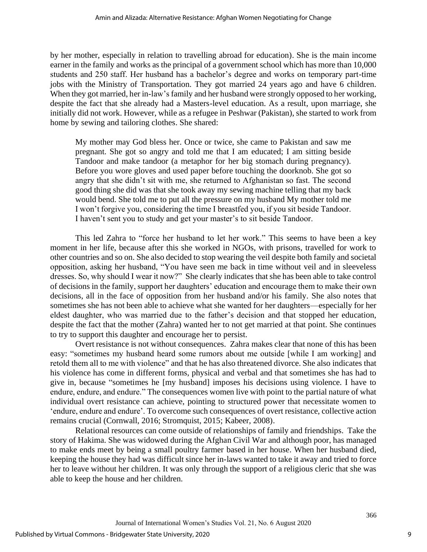by her mother, especially in relation to travelling abroad for education). She is the main income earner in the family and works as the principal of a government school which has more than 10,000 students and 250 staff. Her husband has a bachelor's degree and works on temporary part-time jobs with the Ministry of Transportation. They got married 24 years ago and have 6 children. When they got married, her in-law's family and her husband were strongly opposed to her working, despite the fact that she already had a Masters-level education. As a result, upon marriage, she initially did not work. However, while as a refugee in Peshwar (Pakistan), she started to work from home by sewing and tailoring clothes. She shared:

My mother may God bless her. Once or twice, she came to Pakistan and saw me pregnant. She got so angry and told me that I am educated; I am sitting beside Tandoor and make tandoor (a metaphor for her big stomach during pregnancy). Before you wore gloves and used paper before touching the doorknob. She got so angry that she didn't sit with me, she returned to Afghanistan so fast. The second good thing she did was that she took away my sewing machine telling that my back would bend. She told me to put all the pressure on my husband My mother told me I won't forgive you, considering the time I breastfed you, if you sit beside Tandoor. I haven't sent you to study and get your master's to sit beside Tandoor.

This led Zahra to "force her husband to let her work." This seems to have been a key moment in her life, because after this she worked in NGOs, with prisons, travelled for work to other countries and so on. She also decided to stop wearing the veil despite both family and societal opposition, asking her husband, "You have seen me back in time without veil and in sleeveless dresses. So, why should I wear it now?" She clearly indicates that she has been able to take control of decisions in the family, support her daughters' education and encourage them to make their own decisions, all in the face of opposition from her husband and/or his family. She also notes that sometimes she has not been able to achieve what she wanted for her daughters—especially for her eldest daughter, who was married due to the father's decision and that stopped her education, despite the fact that the mother (Zahra) wanted her to not get married at that point. She continues to try to support this daughter and encourage her to persist.

Overt resistance is not without consequences. Zahra makes clear that none of this has been easy: "sometimes my husband heard some rumors about me outside [while I am working] and retold them all to me with violence" and that he has also threatened divorce. She also indicates that his violence has come in different forms, physical and verbal and that sometimes she has had to give in, because "sometimes he [my husband] imposes his decisions using violence. I have to endure, endure, and endure." The consequences women live with point to the partial nature of what individual overt resistance can achieve, pointing to structured power that necessitate women to 'endure, endure and endure'. To overcome such consequences of overt resistance, collective action remains crucial (Cornwall, 2016; Stromquist, 2015; Kabeer, 2008).

Relational resources can come outside of relationships of family and friendships. Take the story of Hakima. She was widowed during the Afghan Civil War and although poor, has managed to make ends meet by being a small poultry farmer based in her house. When her husband died, keeping the house they had was difficult since her in-laws wanted to take it away and tried to force her to leave without her children. It was only through the support of a religious cleric that she was able to keep the house and her children.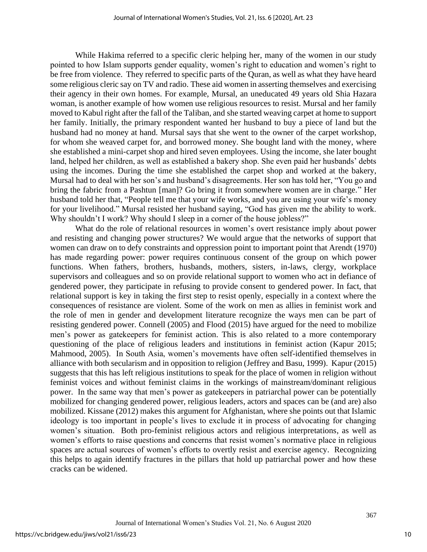While Hakima referred to a specific cleric helping her, many of the women in our study pointed to how Islam supports gender equality, women's right to education and women's right to be free from violence. They referred to specific parts of the Quran, as well as what they have heard some religious cleric say on TV and radio. These aid women in asserting themselves and exercising their agency in their own homes. For example, Mursal, an uneducated 49 years old Shia Hazara woman, is another example of how women use religious resources to resist. Mursal and her family moved to Kabul right after the fall of the Taliban, and she started weaving carpet at home to support her family. Initially, the primary respondent wanted her husband to buy a piece of land but the husband had no money at hand. Mursal says that she went to the owner of the carpet workshop, for whom she weaved carpet for, and borrowed money. She bought land with the money, where she established a mini-carpet shop and hired seven employees. Using the income, she later bought land, helped her children, as well as established a bakery shop. She even paid her husbands' debts using the incomes. During the time she established the carpet shop and worked at the bakery, Mursal had to deal with her son's and husband's disagreements. Her son has told her, "You go and bring the fabric from a Pashtun [man]? Go bring it from somewhere women are in charge." Her husband told her that, "People tell me that your wife works, and you are using your wife's money for your livelihood." Mursal resisted her husband saying, "God has given me the ability to work. Why shouldn't I work? Why should I sleep in a corner of the house jobless?"

What do the role of relational resources in women's overt resistance imply about power and resisting and changing power structures? We would argue that the networks of support that women can draw on to defy constraints and oppression point to important point that Arendt (1970) has made regarding power: power requires continuous consent of the group on which power functions. When fathers, brothers, husbands, mothers, sisters, in-laws, clergy, workplace supervisors and colleagues and so on provide relational support to women who act in defiance of gendered power, they participate in refusing to provide consent to gendered power. In fact, that relational support is key in taking the first step to resist openly, especially in a context where the consequences of resistance are violent. Some of the work on men as allies in feminist work and the role of men in gender and development literature recognize the ways men can be part of resisting gendered power. Connell (2005) and Flood (2015) have argued for the need to mobilize men's power as gatekeepers for feminist action. This is also related to a more contemporary questioning of the place of religious leaders and institutions in feminist action (Kapur 2015; Mahmood, 2005). In South Asia, women's movements have often self-identified themselves in alliance with both secularism and in opposition to religion (Jeffrey and Basu, 1999). Kapur (2015) suggests that this has left religious institutions to speak for the place of women in religion without feminist voices and without feminist claims in the workings of mainstream/dominant religious power. In the same way that men's power as gatekeepers in patriarchal power can be potentially mobilized for changing gendered power, religious leaders, actors and spaces can be (and are) also mobilized. Kissane (2012) makes this argument for Afghanistan, where she points out that Islamic ideology is too important in people's lives to exclude it in process of advocating for changing women's situation. Both pro-feminist religious actors and religious interpretations, as well as women's efforts to raise questions and concerns that resist women's normative place in religious spaces are actual sources of women's efforts to overtly resist and exercise agency. Recognizing this helps to again identify fractures in the pillars that hold up patriarchal power and how these cracks can be widened.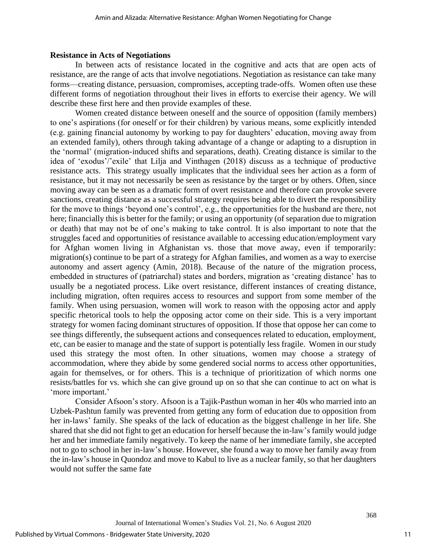# **Resistance in Acts of Negotiations**

In between acts of resistance located in the cognitive and acts that are open acts of resistance, are the range of acts that involve negotiations. Negotiation as resistance can take many forms—creating distance, persuasion, compromises, accepting trade-offs. Women often use these different forms of negotiation throughout their lives in efforts to exercise their agency. We will describe these first here and then provide examples of these.

Women created distance between oneself and the source of opposition (family members) to one's aspirations (for oneself or for their children) by various means, some explicitly intended (e.g. gaining financial autonomy by working to pay for daughters' education, moving away from an extended family), others through taking advantage of a change or adapting to a disruption in the 'normal' (migration-induced shifts and separations, death). Creating distance is similar to the idea of 'exodus'/'exile' that Lilja and Vinthagen (2018) discuss as a technique of productive resistance acts. This strategy usually implicates that the individual sees her action as a form of resistance, but it may not necessarily be seen as resistance by the target or by others. Often, since moving away can be seen as a dramatic form of overt resistance and therefore can provoke severe sanctions, creating distance as a successful strategy requires being able to divert the responsibility for the move to things 'beyond one's control', e.g., the opportunities for the husband are there, not here; financially this is better for the family; or using an opportunity (of separation due to migration or death) that may not be of one's making to take control. It is also important to note that the struggles faced and opportunities of resistance available to accessing education/employment vary for Afghan women living in Afghanistan vs. those that move away, even if temporarily: migration(s) continue to be part of a strategy for Afghan families, and women as a way to exercise autonomy and assert agency (Amin, 2018). Because of the nature of the migration process, embedded in structures of (patriarchal) states and borders, migration as 'creating distance' has to usually be a negotiated process. Like overt resistance, different instances of creating distance, including migration, often requires access to resources and support from some member of the family. When using persuasion, women will work to reason with the opposing actor and apply specific rhetorical tools to help the opposing actor come on their side. This is a very important strategy for women facing dominant structures of opposition. If those that oppose her can come to see things differently, the subsequent actions and consequences related to education, employment, etc, can be easier to manage and the state of support is potentially less fragile. Women in our study used this strategy the most often. In other situations, women may choose a strategy of accommodation, where they abide by some gendered social norms to access other opportunities, again for themselves, or for others. This is a technique of prioritization of which norms one resists/battles for vs. which she can give ground up on so that she can continue to act on what is 'more important.'

Consider Afsoon's story. Afsoon is a Tajik-Pasthun woman in her 40s who married into an Uzbek-Pashtun family was prevented from getting any form of education due to opposition from her in-laws' family. She speaks of the lack of education as the biggest challenge in her life. She shared that she did not fight to get an education for herself because the in-law's family would judge her and her immediate family negatively. To keep the name of her immediate family, she accepted not to go to school in her in-law's house. However, she found a way to move her family away from the in-law's house in Quondoz and move to Kabul to live as a nuclear family, so that her daughters would not suffer the same fate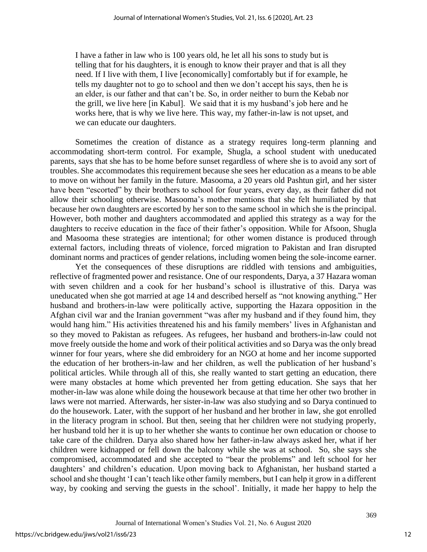I have a father in law who is 100 years old, he let all his sons to study but is telling that for his daughters, it is enough to know their prayer and that is all they need. If I live with them, I live [economically] comfortably but if for example, he tells my daughter not to go to school and then we don't accept his says, then he is an elder, is our father and that can't be. So, in order neither to burn the Kebab nor the grill, we live here [in Kabul]. We said that it is my husband's job here and he works here, that is why we live here. This way, my father-in-law is not upset, and we can educate our daughters.

Sometimes the creation of distance as a strategy requires long-term planning and accommodating short-term control. For example, Shugla, a school student with uneducated parents, says that she has to be home before sunset regardless of where she is to avoid any sort of troubles. She accommodates this requirement because she sees her education as a means to be able to move on without her family in the future. Masooma, a 20 years old Pashtun girl, and her sister have been "escorted" by their brothers to school for four years, every day, as their father did not allow their schooling otherwise. Masooma's mother mentions that she felt humiliated by that because her own daughters are escorted by her son to the same school in which she is the principal. However, both mother and daughters accommodated and applied this strategy as a way for the daughters to receive education in the face of their father's opposition. While for Afsoon, Shugla and Masooma these strategies are intentional; for other women distance is produced through external factors, including threats of violence, forced migration to Pakistan and Iran disrupted dominant norms and practices of gender relations, including women being the sole-income earner.

Yet the consequences of these disruptions are riddled with tensions and ambiguities, reflective of fragmented power and resistance. One of our respondents, Darya, a 37 Hazara woman with seven children and a cook for her husband's school is illustrative of this. Darya was uneducated when she got married at age 14 and described herself as "not knowing anything." Her husband and brothers-in-law were politically active, supporting the Hazara opposition in the Afghan civil war and the Iranian government "was after my husband and if they found him, they would hang him." His activities threatened his and his family members' lives in Afghanistan and so they moved to Pakistan as refugees. As refugees, her husband and brothers-in-law could not move freely outside the home and work of their political activities and so Darya was the only bread winner for four years, where she did embroidery for an NGO at home and her income supported the education of her brothers-in-law and her children, as well the publication of her husband's political articles. While through all of this, she really wanted to start getting an education, there were many obstacles at home which prevented her from getting education. She says that her mother-in-law was alone while doing the housework because at that time her other two brother in laws were not married. Afterwards, her sister-in-law was also studying and so Darya continued to do the housework. Later, with the support of her husband and her brother in law, she got enrolled in the literacy program in school. But then, seeing that her children were not studying properly, her husband told her it is up to her whether she wants to continue her own education or choose to take care of the children. Darya also shared how her father-in-law always asked her, what if her children were kidnapped or fell down the balcony while she was at school. So, she says she compromised, accommodated and she accepted to "bear the problems" and left school for her daughters' and children's education. Upon moving back to Afghanistan, her husband started a school and she thought 'I can't teach like other family members, but I can help it grow in a different way, by cooking and serving the guests in the school'. Initially, it made her happy to help the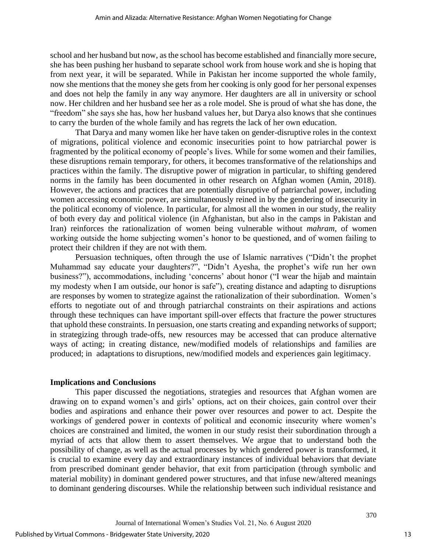school and her husband but now, as the school has become established and financially more secure, she has been pushing her husband to separate school work from house work and she is hoping that from next year, it will be separated. While in Pakistan her income supported the whole family, now she mentions that the money she gets from her cooking is only good for her personal expenses and does not help the family in any way anymore. Her daughters are all in university or school now. Her children and her husband see her as a role model. She is proud of what she has done, the "freedom" she says she has, how her husband values her, but Darya also knows that she continues to carry the burden of the whole family and has regrets the lack of her own education.

That Darya and many women like her have taken on gender-disruptive roles in the context of migrations, political violence and economic insecurities point to how patriarchal power is fragmented by the political economy of people's lives. While for some women and their families, these disruptions remain temporary, for others, it becomes transformative of the relationships and practices within the family. The disruptive power of migration in particular, to shifting gendered norms in the family has been documented in other research on Afghan women (Amin, 2018). However, the actions and practices that are potentially disruptive of patriarchal power, including women accessing economic power, are simultaneously reined in by the gendering of insecurity in the political economy of violence. In particular, for almost all the women in our study, the reality of both every day and political violence (in Afghanistan, but also in the camps in Pakistan and Iran) reinforces the rationalization of women being vulnerable without *mahram*, of women working outside the home subjecting women's honor to be questioned, and of women failing to protect their children if they are not with them.

Persuasion techniques, often through the use of Islamic narratives ("Didn't the prophet Muhammad say educate your daughters?", "Didn't Ayesha, the prophet's wife run her own business?"), accommodations, including 'concerns' about honor ("I wear the hijab and maintain my modesty when I am outside, our honor is safe"), creating distance and adapting to disruptions are responses by women to strategize against the rationalization of their subordination. Women's efforts to negotiate out of and through patriarchal constraints on their aspirations and actions through these techniques can have important spill-over effects that fracture the power structures that uphold these constraints. In persuasion, one starts creating and expanding networks of support; in strategizing through trade-offs, new resources may be accessed that can produce alternative ways of acting; in creating distance, new/modified models of relationships and families are produced; in adaptations to disruptions, new/modified models and experiences gain legitimacy.

# **Implications and Conclusions**

This paper discussed the negotiations, strategies and resources that Afghan women are drawing on to expand women's and girls' options, act on their choices, gain control over their bodies and aspirations and enhance their power over resources and power to act. Despite the workings of gendered power in contexts of political and economic insecurity where women's choices are constrained and limited, the women in our study resist their subordination through a myriad of acts that allow them to assert themselves. We argue that to understand both the possibility of change, as well as the actual processes by which gendered power is transformed, it is crucial to examine every day and extraordinary instances of individual behaviors that deviate from prescribed dominant gender behavior, that exit from participation (through symbolic and material mobility) in dominant gendered power structures, and that infuse new/altered meanings to dominant gendering discourses. While the relationship between such individual resistance and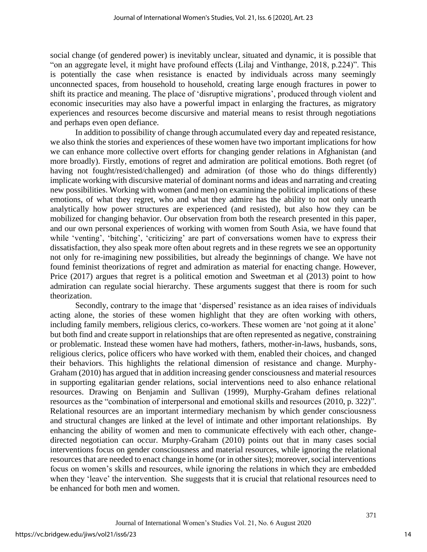social change (of gendered power) is inevitably unclear, situated and dynamic, it is possible that "on an aggregate level, it might have profound effects (Lilaj and Vinthange, 2018, p.224)". This is potentially the case when resistance is enacted by individuals across many seemingly unconnected spaces, from household to household, creating large enough fractures in power to shift its practice and meaning. The place of 'disruptive migrations', produced through violent and economic insecurities may also have a powerful impact in enlarging the fractures, as migratory experiences and resources become discursive and material means to resist through negotiations and perhaps even open defiance.

In addition to possibility of change through accumulated every day and repeated resistance, we also think the stories and experiences of these women have two important implications for how we can enhance more collective overt efforts for changing gender relations in Afghanistan (and more broadly). Firstly, emotions of regret and admiration are political emotions. Both regret (of having not fought/resisted/challenged) and admiration (of those who do things differently) implicate working with discursive material of dominant norms and ideas and narrating and creating new possibilities. Working with women (and men) on examining the political implications of these emotions, of what they regret, who and what they admire has the ability to not only unearth analytically how power structures are experienced (and resisted), but also how they can be mobilized for changing behavior. Our observation from both the research presented in this paper, and our own personal experiences of working with women from South Asia, we have found that while 'venting', 'bitching', 'criticizing' are part of conversations women have to express their dissatisfaction, they also speak more often about regrets and in these regrets we see an opportunity not only for re-imagining new possibilities, but already the beginnings of change. We have not found feminist theorizations of regret and admiration as material for enacting change. However, Price (2017) argues that regret is a political emotion and Sweetman et al (2013) point to how admiration can regulate social hierarchy. These arguments suggest that there is room for such theorization.

Secondly, contrary to the image that 'dispersed' resistance as an idea raises of individuals acting alone, the stories of these women highlight that they are often working with others, including family members, religious clerics, co-workers. These women are 'not going at it alone' but both find and create support in relationships that are often represented as negative, constraining or problematic. Instead these women have had mothers, fathers, mother-in-laws, husbands, sons, religious clerics, police officers who have worked with them, enabled their choices, and changed their behaviors. This highlights the relational dimension of resistance and change. Murphy-Graham (2010) has argued that in addition increasing gender consciousness and material resources in supporting egalitarian gender relations, social interventions need to also enhance relational resources. Drawing on Benjamin and Sullivan (1999), Murphy-Graham defines relational resources as the "combination of interpersonal and emotional skills and resources (2010, p. 322)". Relational resources are an important intermediary mechanism by which gender consciousness and structural changes are linked at the level of intimate and other important relationships. By enhancing the ability of women and men to communicate effectively with each other, changedirected negotiation can occur. Murphy-Graham (2010) points out that in many cases social interventions focus on gender consciousness and material resources, while ignoring the relational resources that are needed to enact change in home (or in other sites); moreover, social interventions focus on women's skills and resources, while ignoring the relations in which they are embedded when they 'leave' the intervention. She suggests that it is crucial that relational resources need to be enhanced for both men and women.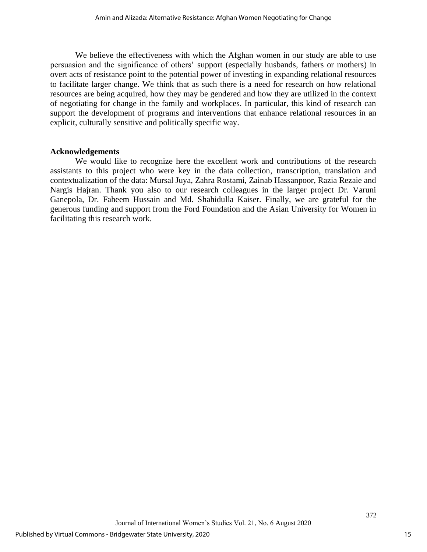We believe the effectiveness with which the Afghan women in our study are able to use persuasion and the significance of others' support (especially husbands, fathers or mothers) in overt acts of resistance point to the potential power of investing in expanding relational resources to facilitate larger change. We think that as such there is a need for research on how relational resources are being acquired, how they may be gendered and how they are utilized in the context of negotiating for change in the family and workplaces. In particular, this kind of research can support the development of programs and interventions that enhance relational resources in an explicit, culturally sensitive and politically specific way.

# **Acknowledgements**

We would like to recognize here the excellent work and contributions of the research assistants to this project who were key in the data collection, transcription, translation and contextualization of the data: Mursal Juya, Zahra Rostami, Zainab Hassanpoor, Razia Rezaie and Nargis Hajran. Thank you also to our research colleagues in the larger project Dr. Varuni Ganepola, Dr. Faheem Hussain and Md. Shahidulla Kaiser. Finally, we are grateful for the generous funding and support from the Ford Foundation and the Asian University for Women in facilitating this research work.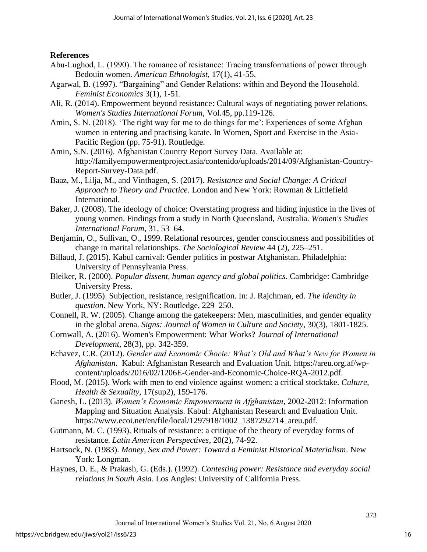**References**

- Abu-Lughod, L. (1990). The romance of resistance: Tracing transformations of power through Bedouin women. *American Ethnologist*, 17(1), 41-55.
- Agarwal, B. (1997). "Bargaining" and Gender Relations: within and Beyond the Household. *Feminist Economics* 3(1), 1-51.
- Ali, R. (2014). Empowerment beyond resistance: Cultural ways of negotiating power relations. *Women's Studies International Forum,* Vol.45, pp.119-126.
- Amin, S. N. (2018). 'The right way for me to do things for me': Experiences of some Afghan women in entering and practising karate. In Women, Sport and Exercise in the Asia-Pacific Region (pp. 75-91). Routledge.
- Amin, S.N. (2016). Afghanistan Country Report Survey Data. Available at: [http://familyempowermentproject.asia/contenido/uploads/2014/09/Afghanistan-Country-](http://familyempowermentproject.asia/contenido/uploads/2014/09/Afghanistan-Country-Report-Survey-Data.pdf)[Report-Survey-Data.pdf.](http://familyempowermentproject.asia/contenido/uploads/2014/09/Afghanistan-Country-Report-Survey-Data.pdf)
- Baaz, M., Lilja, M., and Vinthagen, S. (2017). *Resistance and Social Change: A Critical Approach to Theory and Practice*. London and New York: Rowman & Littlefield International.
- Baker, J. (2008). The ideology of choice: Overstating progress and hiding injustice in the lives of young women. Findings from a study in North Queensland, Australia. *Women's Studies International Forum*, 31, 53–64.
- Benjamin, O., Sullivan, O., 1999. Relational resources, gender consciousness and possibilities of change in marital relationships. *The Sociological Review* 44 (2), 225–251.
- Billaud, J. (2015). Kabul carnival: Gender politics in postwar Afghanistan. Philadelphia: University of Pennsylvania Press.
- Bleiker, R. (2000). *Popular dissent, human agency and global politics*. Cambridge: Cambridge University Press.
- Butler, J. (1995). Subjection, resistance, resignification. In: J. Rajchman, ed. *The identity in question*. New York, NY: Routledge, 229–250.
- Connell, R. W. (2005). Change among the gatekeepers: Men, masculinities, and gender equality in the global arena. *Signs: Journal of Women in Culture and Society*, 30(3), 1801-1825.
- Cornwall, A. (2016). Women's Empowerment: What Works? *Journal of International Development*, 28(3), pp. 342-359.
- Echavez, C.R. (2012). *Gender and Economic Chocie: What's Old and What's New for Women in Afghanistan.* Kabul: Afghanistan Research and Evaluation Unit. [https://areu.org.af/wp](https://areu.org.af/wp-content/uploads/2016/02/1206E-Gender-and-Economic-Choice-RQA-2012.pdf)[content/uploads/2016/02/1206E-Gender-and-Economic-Choice-RQA-2012.pdf.](https://areu.org.af/wp-content/uploads/2016/02/1206E-Gender-and-Economic-Choice-RQA-2012.pdf)
- Flood, M. (2015). Work with men to end violence against women: a critical stocktake. *Culture, Health & Sexuality*, 17(sup2), 159-176.
- Ganesh, L. (2013). *Women's Economic Empowerment in Afghanistan*, 2002-2012: Information Mapping and Situation Analysis*.* Kabul: Afghanistan Research and Evaluation Unit. [https://www.ecoi.net/en/file/local/1297918/1002\\_1387292714\\_areu.pdf.](https://www.ecoi.net/en/file/local/1297918/1002_1387292714_areu.pdf)
- Gutmann, M. C. (1993). Rituals of resistance: a critique of the theory of everyday forms of resistance. *Latin American Perspectives*, 20(2), 74-92.
- Hartsock, N. (1983). *Money, Sex and Power: Toward a Feminist Historical Materialism*. New York: Longman.
- Haynes, D. E., & Prakash, G. (Eds.). (1992). *Contesting power: Resistance and everyday social relations in South Asia*. Los Angles: University of California Press.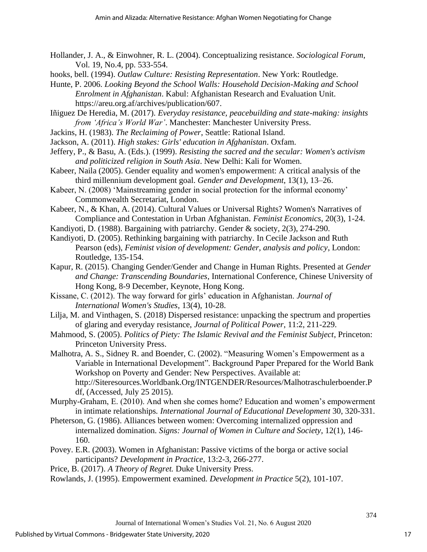- Hollander, J. A., & Einwohner, R. L. (2004). Conceptualizing resistance. *Sociological Forum*, Vol. 19, No.4, pp. 533-554.
- hooks, bell. (1994). *Outlaw Culture: Resisting Representation*. New York: Routledge.

Hunte, P. 2006. *Looking Beyond the School Walls: Household Decision-Making and School Enrolment in Afghanistan*. Kabul: Afghanistan Research and Evaluation Unit. [https://areu.org.af/archives/publication/607.](https://areu.org.af/archives/publication/607)

Iñiguez De Heredia, M. (2017)*. Everyday resistance, peacebuilding and state-making: insights from 'Africa's World War'*. Manchester: Manchester University Press.

- Jackins, H. (1983). *The Reclaiming of Power*, Seattle: Rational Island.
- Jackson, A. (2011). *High stakes: Girls' education in Afghanistan*. Oxfam.

Jeffery, P., & Basu, A. (Eds.). (1999). *Resisting the sacred and the secular: Women's activism and politicized religion in South Asia*. New Delhi: Kali for Women.

Kabeer, Naila (2005). Gender equality and women's empowerment: A critical analysis of the third millennium development goal. *Gender and Development*, 13(1), 13–26.

Kabeer, N. (2008) 'Mainstreaming gender in social protection for the informal economy' Commonwealth Secretariat, London.

Kabeer, N., & Khan, A. (2014). Cultural Values or Universal Rights? Women's Narratives of Compliance and Contestation in Urban Afghanistan. *Feminist Economics*, 20(3), 1-24.

Kandiyoti, D. (1988). Bargaining with patriarchy. Gender & society, 2(3), 274-290.

Kandiyoti, D. (2005). Rethinking bargaining with patriarchy. In Cecile Jackson and Ruth Pearson (eds), *Feminist vision of development: Gender, analysis and policy*, London: Routledge, 135-154.

- Kapur, R. (2015). Changing Gender/Gender and Change in Human Rights. Presented at *Gender and Change: Transcending Boundaries*, International Conference, Chinese University of Hong Kong, 8-9 December, Keynote, Hong Kong.
- Kissane, C. (2012). The way forward for girls' education in Afghanistan. *Journal of International Women's Studies*, 13(4), 10-28.
- Lilja, M. and Vinthagen, S. (2018) Dispersed resistance: unpacking the spectrum and properties of glaring and everyday resistance, *Journal of Political Power*, 11:2, 211-229.
- Mahmood, S. (2005). *Politics of Piety: The Islamic Revival and the Feminist Subject*, Princeton: Princeton University Press.

Malhotra, A. S., Sidney R. and Boender, C. (2002). "Measuring Women's Empowerment as a Variable in International Development". Background Paper Prepared for the World Bank Workshop on Poverty and Gender: New Perspectives. Available at: [http://Siteresources.Worldbank.Org/INTGENDER/Resources/Malhotraschulerboender.P](http://siteresources.worldbank.org/INTGENDER/Resources/Malhotraschulerboender.Pdf) [df,](http://siteresources.worldbank.org/INTGENDER/Resources/Malhotraschulerboender.Pdf) (Accessed, July 25 2015).

Murphy-Graham, E. (2010). And when she comes home? Education and women's empowerment in intimate relationships*. International Journal of Educational Development* 30, 320-331.

Pheterson, G. (1986). Alliances between women: Overcoming internalized oppression and internalized domination. *Signs: Journal of Women in Culture and Society*, 12(1), 146- 160.

- Povey. E.R. (2003). Women in Afghanistan: Passive victims of the borga or active social participants? *Development in Practice*, 13:2-3, 266-277.
- Price, B. (2017). *A Theory of Regret.* Duke University Press.

Rowlands, J. (1995). Empowerment examined. *Development in Practice* 5(2), 101-107.